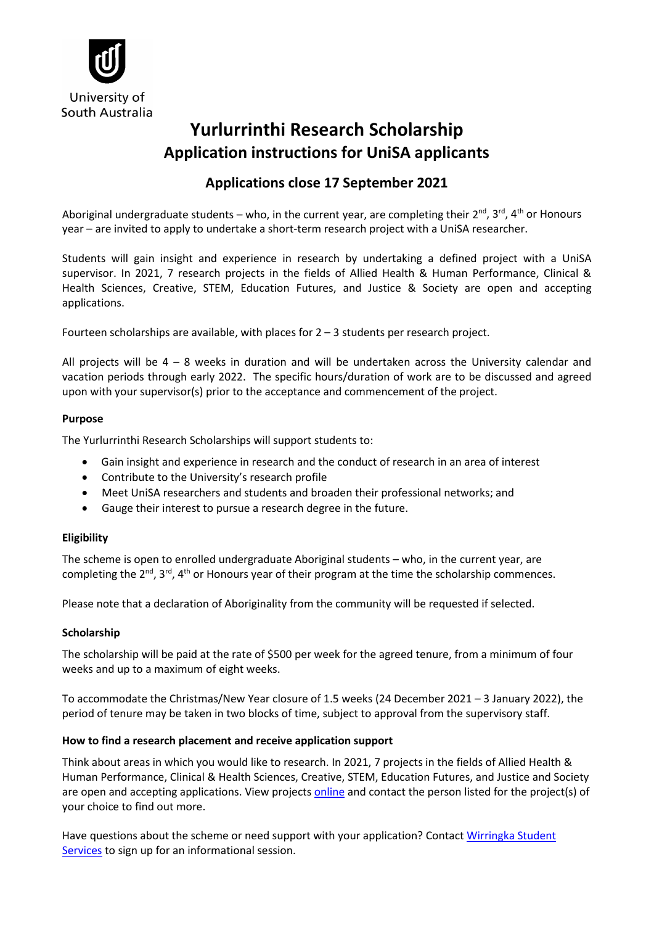

# **Yurlurrinthi Research Scholarship Application instructions for UniSA applicants**

# **Applications close 17 September 2021**

Aboriginal undergraduate students – who, in the current year, are completing their  $2^{nd}$ ,  $3^{rd}$ ,  $4^{th}$  or Honours year – are invited to apply to undertake a short-term research project with a UniSA researcher.

Students will gain insight and experience in research by undertaking a defined project with a UniSA supervisor. In 2021, 7 research projects in the fields of Allied Health & Human Performance, Clinical & Health Sciences, Creative, STEM, Education Futures, and Justice & Society are open and accepting applications.

Fourteen scholarships are available, with places for  $2 - 3$  students per research project.

All projects will be  $4 - 8$  weeks in duration and will be undertaken across the University calendar and vacation periods through early 2022. The specific hours/duration of work are to be discussed and agreed upon with your supervisor(s) prior to the acceptance and commencement of the project.

#### **Purpose**

The Yurlurrinthi Research Scholarships will support students to:

- Gain insight and experience in research and the conduct of research in an area of interest
- Contribute to the University's research profile
- Meet UniSA researchers and students and broaden their professional networks; and
- Gauge their interest to pursue a research degree in the future.

## **Eligibility**

The scheme is open to enrolled undergraduate Aboriginal students – who, in the current year, are completing the  $2^{nd}$ ,  $3^{rd}$ ,  $4^{th}$  or Honours year of their program at the time the scholarship commences.

Please note that a declaration of Aboriginality from the community will be requested if selected.

## **Scholarship**

The scholarship will be paid at the rate of \$500 per week for the agreed tenure, from a minimum of four weeks and up to a maximum of eight weeks.

To accommodate the Christmas/New Year closure of 1.5 weeks (24 December 2021 – 3 January 2022), the period of tenure may be taken in two blocks of time, subject to approval from the supervisory staff.

#### **How to find a research placement and receive application support**

Think about areas in which you would like to research. In 2021, 7 projects in the fields of Allied Health & Human Performance, Clinical & Health Sciences, Creative, STEM, Education Futures, and Justice and Society are open and accepting applications. View projects [online](https://unisa.edu.au/research/degrees/scholarships/yurlurrinthi_research_scholarships/) and contact the person listed for the project(s) of your choice to find out more.

Have questions about the scheme or need support with your application? Contact Wirringka Student [Services](https://i.unisa.edu.au/students/student-support-services/wirringka-student-services/meettheteam/) to sign up for an informational session.